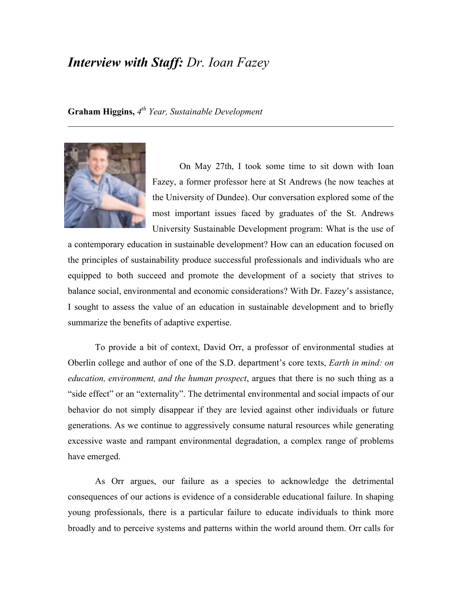## *Interview with Staff: Dr. Ioan Fazey*

**Graham Higgins,** *4th Year, Sustainable Development*



On May 27th, I took some time to sit down with Ioan Fazey, a former professor here at St Andrews (he now teaches at the University of Dundee). Our conversation explored some of the most important issues faced by graduates of the St. Andrews University Sustainable Development program: What is the use of

a contemporary education in sustainable development? How can an education focused on the principles of sustainability produce successful professionals and individuals who are equipped to both succeed and promote the development of a society that strives to balance social, environmental and economic considerations? With Dr. Fazey's assistance, I sought to assess the value of an education in sustainable development and to briefly summarize the benefits of adaptive expertise.

To provide a bit of context, David Orr, a professor of environmental studies at Oberlin college and author of one of the S.D. department's core texts, *Earth in mind: on education, environment, and the human prospect*, argues that there is no such thing as a "side effect" or an "externality". The detrimental environmental and social impacts of our behavior do not simply disappear if they are levied against other individuals or future generations. As we continue to aggressively consume natural resources while generating excessive waste and rampant environmental degradation, a complex range of problems have emerged.

As Orr argues, our failure as a species to acknowledge the detrimental consequences of our actions is evidence of a considerable educational failure. In shaping young professionals, there is a particular failure to educate individuals to think more broadly and to perceive systems and patterns within the world around them. Orr calls for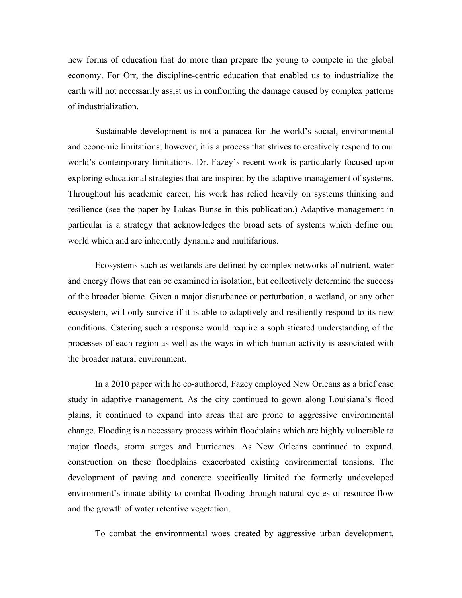new forms of education that do more than prepare the young to compete in the global economy. For Orr, the discipline-centric education that enabled us to industrialize the earth will not necessarily assist us in confronting the damage caused by complex patterns of industrialization.

Sustainable development is not a panacea for the world's social, environmental and economic limitations; however, it is a process that strives to creatively respond to our world's contemporary limitations. Dr. Fazey's recent work is particularly focused upon exploring educational strategies that are inspired by the adaptive management of systems. Throughout his academic career, his work has relied heavily on systems thinking and resilience (see the paper by Lukas Bunse in this publication.) Adaptive management in particular is a strategy that acknowledges the broad sets of systems which define our world which and are inherently dynamic and multifarious.

Ecosystems such as wetlands are defined by complex networks of nutrient, water and energy flows that can be examined in isolation, but collectively determine the success of the broader biome. Given a major disturbance or perturbation, a wetland, or any other ecosystem, will only survive if it is able to adaptively and resiliently respond to its new conditions. Catering such a response would require a sophisticated understanding of the processes of each region as well as the ways in which human activity is associated with the broader natural environment.

In a 2010 paper with he co-authored, Fazey employed New Orleans as a brief case study in adaptive management. As the city continued to gown along Louisiana's flood plains, it continued to expand into areas that are prone to aggressive environmental change. Flooding is a necessary process within floodplains which are highly vulnerable to major floods, storm surges and hurricanes. As New Orleans continued to expand, construction on these floodplains exacerbated existing environmental tensions. The development of paving and concrete specifically limited the formerly undeveloped environment's innate ability to combat flooding through natural cycles of resource flow and the growth of water retentive vegetation.

To combat the environmental woes created by aggressive urban development,